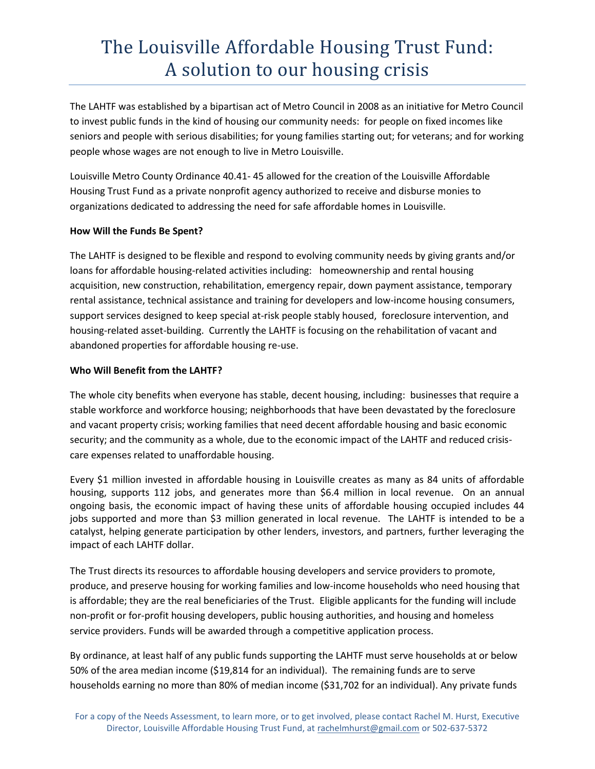## The Louisville Affordable Housing Trust Fund: A solution to our housing crisis

The LAHTF was established by a bipartisan act of Metro Council in 2008 as an initiative for Metro Council to invest public funds in the kind of housing our community needs: for people on fixed incomes like seniors and people with serious disabilities; for young families starting out; for veterans; and for working people whose wages are not enough to live in Metro Louisville.

Louisville Metro County Ordinance 40.41- 45 allowed for the creation of the Louisville Affordable Housing Trust Fund as a private nonprofit agency authorized to receive and disburse monies to organizations dedicated to addressing the need for safe affordable homes in Louisville.

### **How Will the Funds Be Spent?**

The LAHTF is designed to be flexible and respond to evolving community needs by giving grants and/or loans for affordable housing-related activities including: homeownership and rental housing acquisition, new construction, rehabilitation, emergency repair, down payment assistance, temporary rental assistance, technical assistance and training for developers and low-income housing consumers, support services designed to keep special at-risk people stably housed, foreclosure intervention, and housing-related asset-building. Currently the LAHTF is focusing on the rehabilitation of vacant and abandoned properties for affordable housing re-use.

### **Who Will Benefit from the LAHTF?**

The whole city benefits when everyone has stable, decent housing, including: businesses that require a stable workforce and workforce housing; neighborhoods that have been devastated by the foreclosure and vacant property crisis; working families that need decent affordable housing and basic economic security; and the community as a whole, due to the economic impact of the LAHTF and reduced crisis care expenses related to unaffordable housing.

Every \$1 million invested in affordable housing in Louisville creates as many as 84 units of affordable housing, supports 112 jobs, and generates more than \$6.4 million in local revenue. On an annual ongoing basis, the economic impact of having these units of affordable housing occupied includes 44 jobs supported and more than \$3 million generated in local revenue. The LAHTF is intended to be a catalyst, helping generate participation by other lenders, investors, and partners, further leveraging the impact of each LAHTF dollar.

The Trust directs its resources to affordable housing developers and service providers to promote, produce, and preserve housing for working families and low-income households who need housing that is affordable; they are the real beneficiaries of the Trust. Eligible applicants for the funding will include non-profit or for-profit housing developers, public housing authorities, and housing and homeless service providers. Funds will be awarded through a competitive application process.

By ordinance, at least half of any public funds supporting the LAHTF must serve households at or below 50% of the area median income (\$19,814 for an individual). The remaining funds are to serve households earning no more than 80% of median income (\$31,702 for an individual). Any private funds